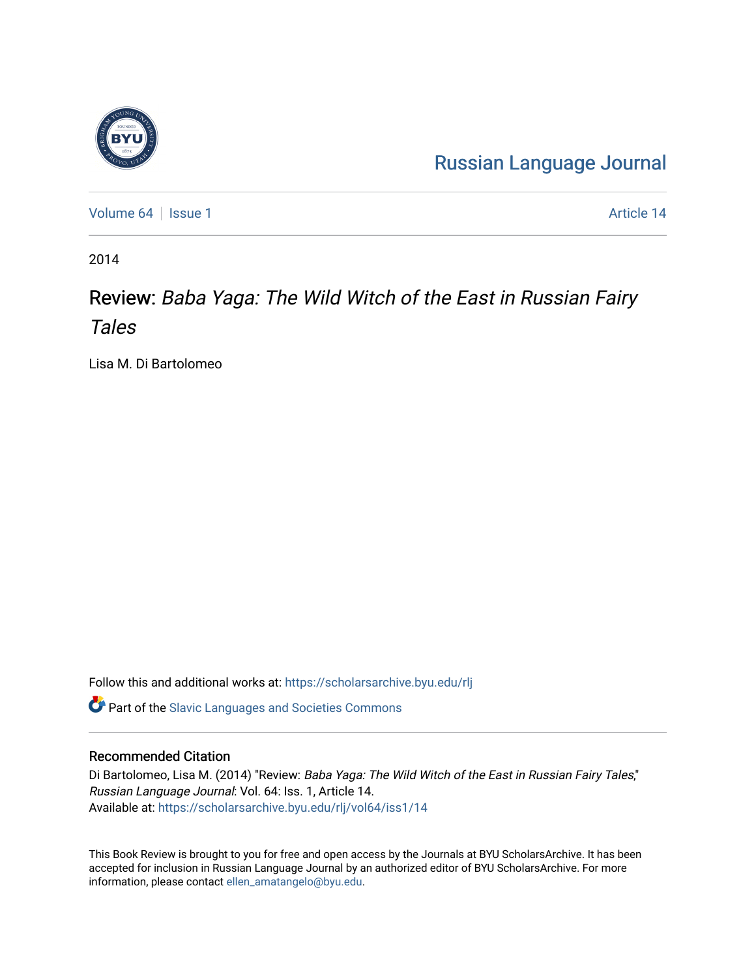## [Russian Language Journal](https://scholarsarchive.byu.edu/rlj)

[Volume 64](https://scholarsarchive.byu.edu/rlj/vol64) | [Issue 1](https://scholarsarchive.byu.edu/rlj/vol64/iss1) Article 14

2014

## Review: Baba Yaga: The Wild Witch of the East in Russian Fairy Tales

Lisa M. Di Bartolomeo

Follow this and additional works at: [https://scholarsarchive.byu.edu/rlj](https://scholarsarchive.byu.edu/rlj?utm_source=scholarsarchive.byu.edu%2Frlj%2Fvol64%2Fiss1%2F14&utm_medium=PDF&utm_campaign=PDFCoverPages)

**C** Part of the Slavic Languages and Societies Commons

## Recommended Citation

Di Bartolomeo, Lisa M. (2014) "Review: Baba Yaga: The Wild Witch of the East in Russian Fairy Tales," Russian Language Journal: Vol. 64: Iss. 1, Article 14. Available at: [https://scholarsarchive.byu.edu/rlj/vol64/iss1/14](https://scholarsarchive.byu.edu/rlj/vol64/iss1/14?utm_source=scholarsarchive.byu.edu%2Frlj%2Fvol64%2Fiss1%2F14&utm_medium=PDF&utm_campaign=PDFCoverPages)

This Book Review is brought to you for free and open access by the Journals at BYU ScholarsArchive. It has been accepted for inclusion in Russian Language Journal by an authorized editor of BYU ScholarsArchive. For more information, please contact [ellen\\_amatangelo@byu.edu.](mailto:ellen_amatangelo@byu.edu)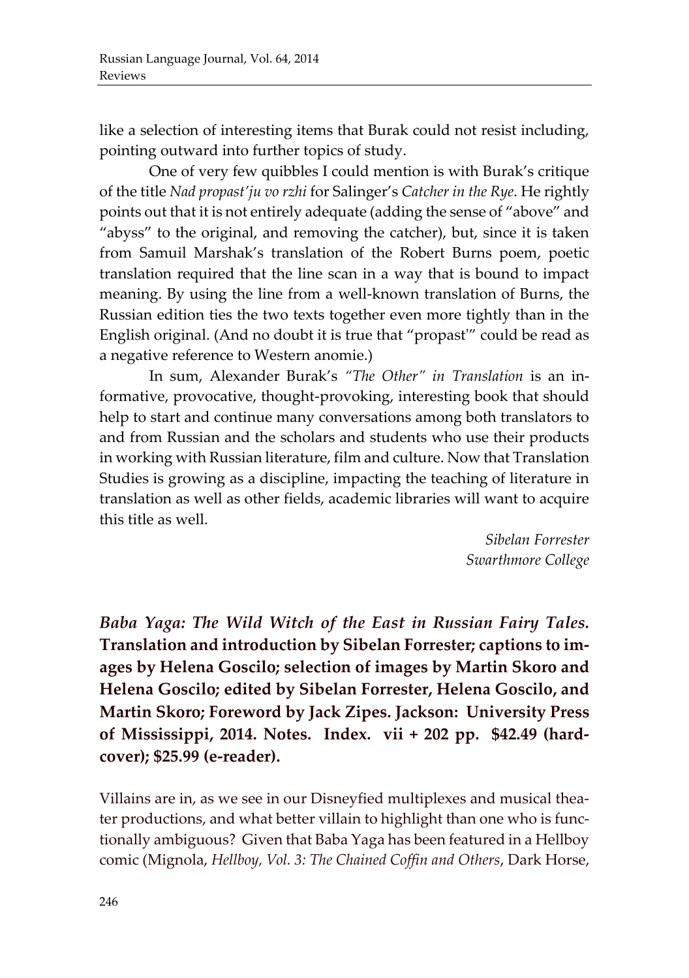like a selection of interesting items that Burak could not resist including, pointing outward into further topics of study.

One of very few quibbles I could mention is with Burak's critique of the title *Nad propast'ju vo rzhi* for Salinger's *Catcher in the Rye*. He rightly points out that it is not entirely adequate (adding the sense of "above" and "abyss" to the original, and removing the catcher), but, since it is taken from Samuil Marshak's translation of the Robert Burns poem, poetic translation required that the line scan in a way that is bound to impact meaning. By using the line from a well-known translation of Burns, the Russian edition ties the two texts together even more tightly than in the English original. (And no doubt it is true that "propast'" could be read as a negative reference to Western anomie.)

In sum, Alexander Burak's *"The Other" in Translation* is an informative, provocative, thought-provoking, interesting book that should help to start and continue many conversations among both translators to and from Russian and the scholars and students who use their products in working with Russian literature, film and culture. Now that Translation Studies is growing as a discipline, impacting the teaching of literature in translation as well as other fields, academic libraries will want to acquire this title as well.

> *Sibelan Forrester Swarthmore College*

*Baba Yaga: The Wild Witch of the East in Russian Fairy Tales.*  **Translation and introduction by Sibelan Forrester; captions to images by Helena Goscilo; selection of images by Martin Skoro and Helena Goscilo; edited by Sibelan Forrester, Helena Goscilo, and Martin Skoro; Foreword by Jack Zipes. Jackson: University Press of Mississippi, 2014. Notes. Index. vii + 202 pp. \$42.49 (hardcover); \$25.99 (e-reader).**

Villains are in, as we see in our Disneyfied multiplexes and musical theater productions, and what better villain to highlight than one who is functionally ambiguous? Given that Baba Yaga has been featured in a Hellboy comic (Mignola, *Hellboy, Vol. 3: The Chained Coffin and Others*, Dark Horse,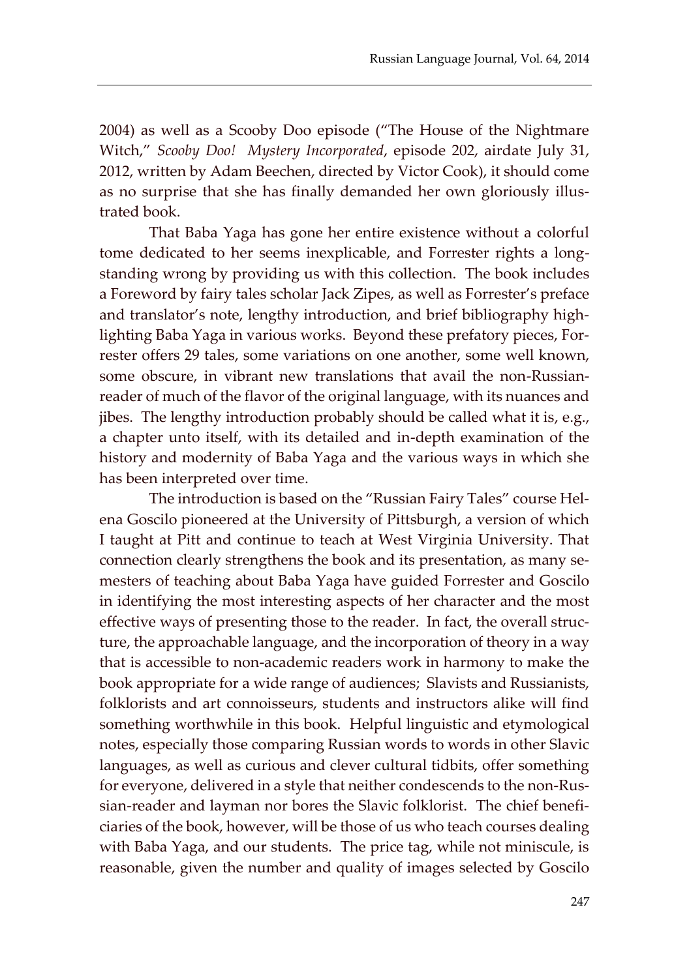2004) as well as a Scooby Doo episode ("The House of the Nightmare Witch," *Scooby Doo! Mystery Incorporated*, episode 202, airdate July 31, 2012, written by Adam Beechen, directed by Victor Cook), it should come as no surprise that she has finally demanded her own gloriously illustrated book.

That Baba Yaga has gone her entire existence without a colorful tome dedicated to her seems inexplicable, and Forrester rights a longstanding wrong by providing us with this collection. The book includes a Foreword by fairy tales scholar Jack Zipes, as well as Forrester's preface and translator's note, lengthy introduction, and brief bibliography highlighting Baba Yaga in various works. Beyond these prefatory pieces, Forrester offers 29 tales, some variations on one another, some well known, some obscure, in vibrant new translations that avail the non-Russianreader of much of the flavor of the original language, with its nuances and jibes. The lengthy introduction probably should be called what it is, e.g., a chapter unto itself, with its detailed and in-depth examination of the history and modernity of Baba Yaga and the various ways in which she has been interpreted over time.

The introduction is based on the "Russian Fairy Tales" course Helena Goscilo pioneered at the University of Pittsburgh, a version of which I taught at Pitt and continue to teach at West Virginia University. That connection clearly strengthens the book and its presentation, as many semesters of teaching about Baba Yaga have guided Forrester and Goscilo in identifying the most interesting aspects of her character and the most effective ways of presenting those to the reader. In fact, the overall structure, the approachable language, and the incorporation of theory in a way that is accessible to non-academic readers work in harmony to make the book appropriate for a wide range of audiences; Slavists and Russianists, folklorists and art connoisseurs, students and instructors alike will find something worthwhile in this book. Helpful linguistic and etymological notes, especially those comparing Russian words to words in other Slavic languages, as well as curious and clever cultural tidbits, offer something for everyone, delivered in a style that neither condescends to the non-Russian-reader and layman nor bores the Slavic folklorist. The chief beneficiaries of the book, however, will be those of us who teach courses dealing with Baba Yaga, and our students. The price tag, while not miniscule, is reasonable, given the number and quality of images selected by Goscilo